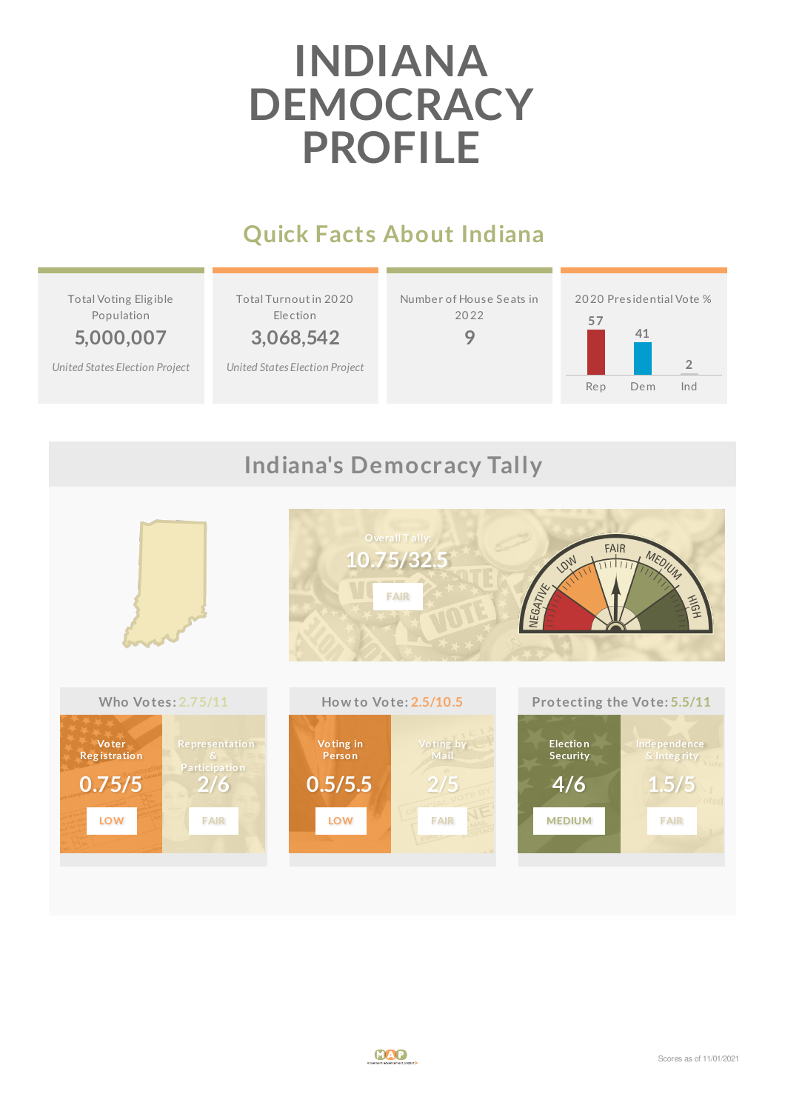# **INDIANA DEMOCRACY PROFILE**

## **Quick Facts About Indiana**

Total Voting Elig ible Population

**5,000,007** *United States [Election](http://www.electproject.org/2020g) Project* Total Turnoutin 20 20 Election

**3,068,542**

*United States [Election](http://www.electproject.org/2020g) Project*

Number of House Seats in 20 22

**9**





### **Indiana's Democracy Tally**

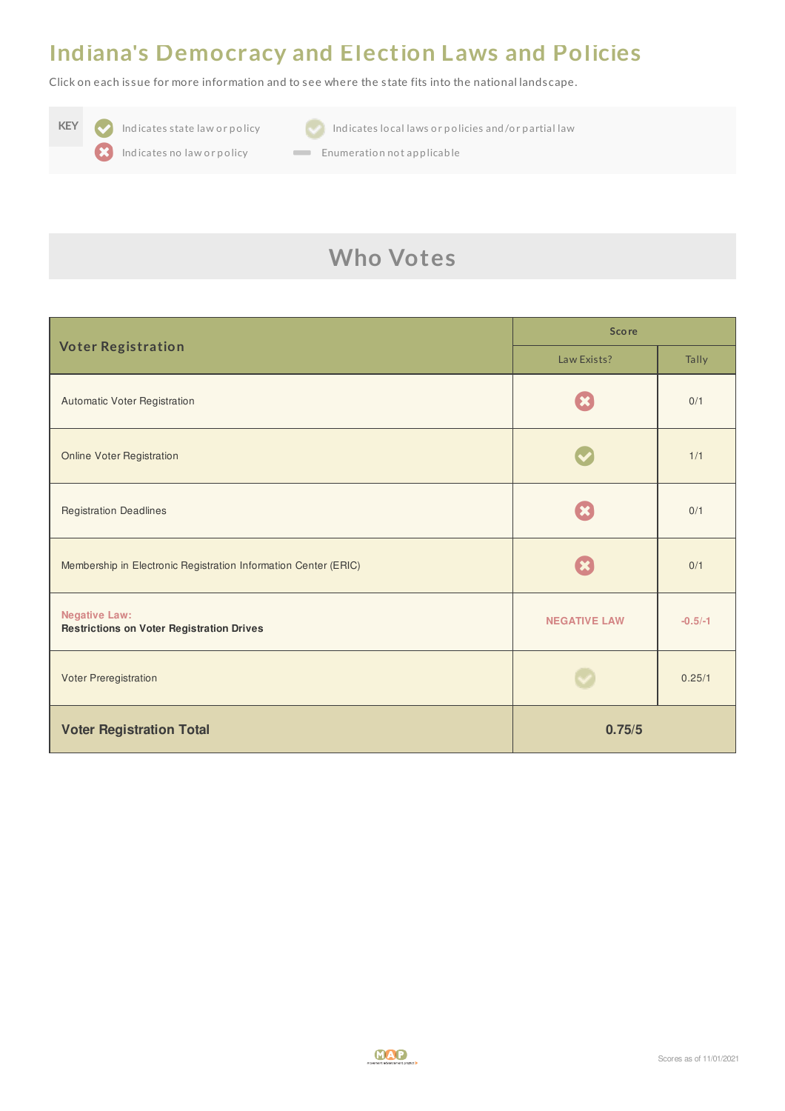#### **Indiana's Democracy and Election Laws and Policies**

Click on each is sue for more information and to see where the s tate fits into the national landscape.



**KEY Indicates state law or policy Indicates local laws or policies and/or partial law** 



Indicates no law or policy **Enumeration not applicable** 

## **Who Votes**

| <b>Voter Registration</b>                                                | <b>Score</b>        |           |
|--------------------------------------------------------------------------|---------------------|-----------|
|                                                                          | Law Exists?         | Tally     |
| Automatic Voter Registration                                             |                     | 0/1       |
| <b>Online Voter Registration</b>                                         |                     | 1/1       |
| <b>Registration Deadlines</b>                                            |                     | 0/1       |
| Membership in Electronic Registration Information Center (ERIC)          |                     | 0/1       |
| <b>Negative Law:</b><br><b>Restrictions on Voter Registration Drives</b> | <b>NEGATIVE LAW</b> | $-0.5/-1$ |
| Voter Preregistration                                                    |                     | 0.25/1    |
| <b>Voter Registration Total</b>                                          | 0.75/5              |           |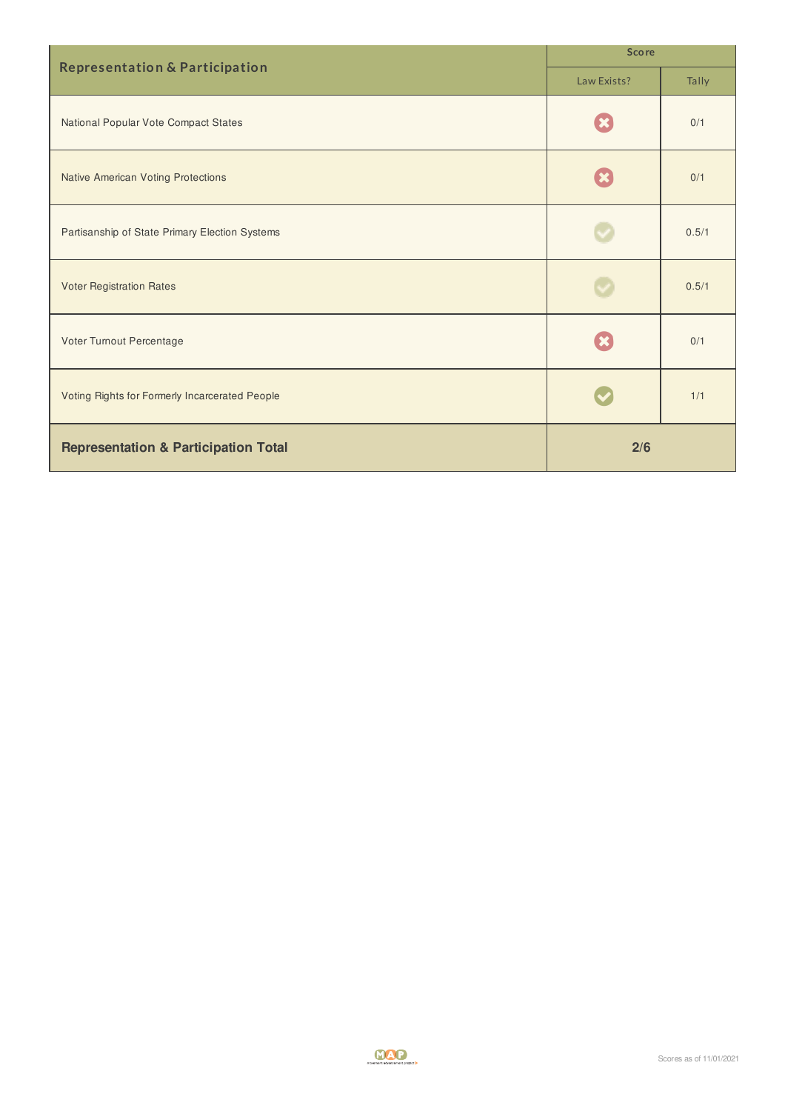| <b>Representation &amp; Participation</b>       | <b>Score</b> |       |
|-------------------------------------------------|--------------|-------|
|                                                 | Law Exists?  | Tally |
| National Popular Vote Compact States            |              | 0/1   |
| <b>Native American Voting Protections</b>       |              | 0/1   |
| Partisanship of State Primary Election Systems  |              | 0.5/1 |
| <b>Voter Registration Rates</b>                 |              | 0.5/1 |
| Voter Turnout Percentage                        |              | 0/1   |
| Voting Rights for Formerly Incarcerated People  |              | 1/1   |
| <b>Representation &amp; Participation Total</b> | 2/6          |       |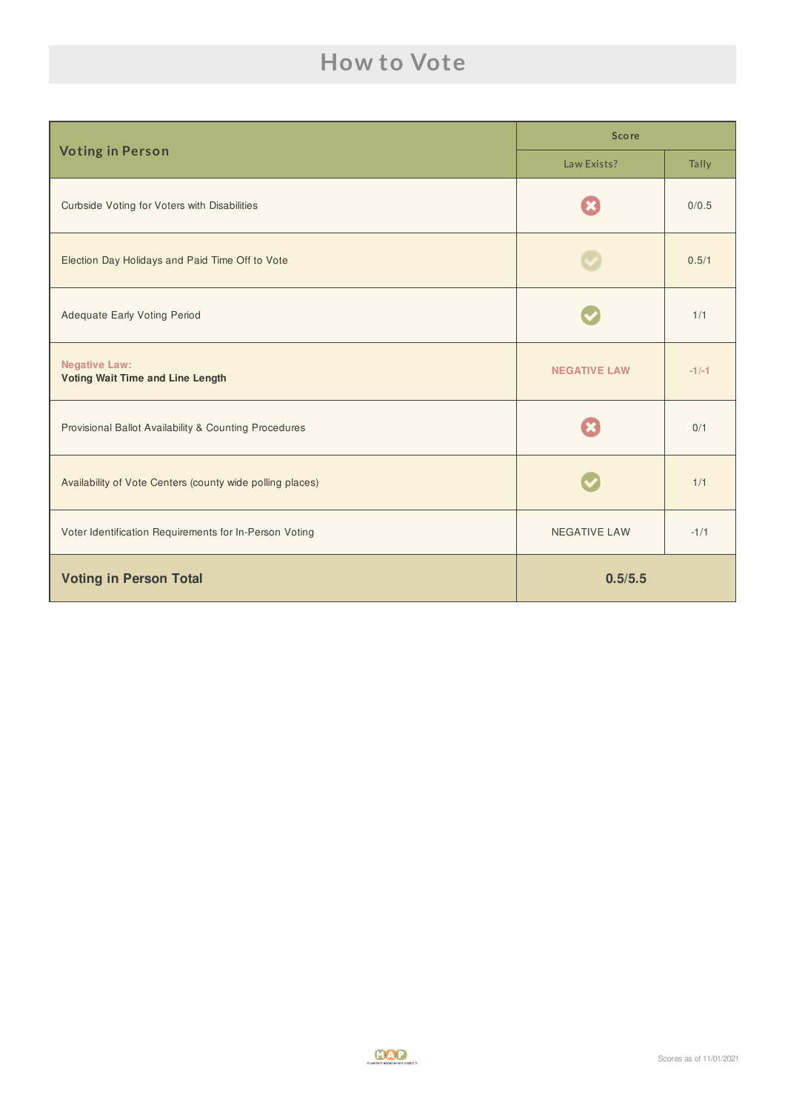## **How to Vote**

| <b>Voting in Person</b>                                         | <b>Score</b>        |         |
|-----------------------------------------------------------------|---------------------|---------|
|                                                                 | Law Exists?         | Tally   |
| Curbside Voting for Voters with Disabilities                    |                     | 0/0.5   |
| Election Day Holidays and Paid Time Off to Vote                 |                     | 0.5/1   |
| <b>Adequate Early Voting Period</b>                             |                     | 1/1     |
| <b>Negative Law:</b><br><b>Voting Wait Time and Line Length</b> | <b>NEGATIVE LAW</b> | $-1/-1$ |
| Provisional Ballot Availability & Counting Procedures           |                     | 0/1     |
| Availability of Vote Centers (county wide polling places)       |                     | 1/1     |
| Voter Identification Requirements for In-Person Voting          | <b>NEGATIVE LAW</b> | $-1/1$  |
| <b>Voting in Person Total</b>                                   | 0.5/5.5             |         |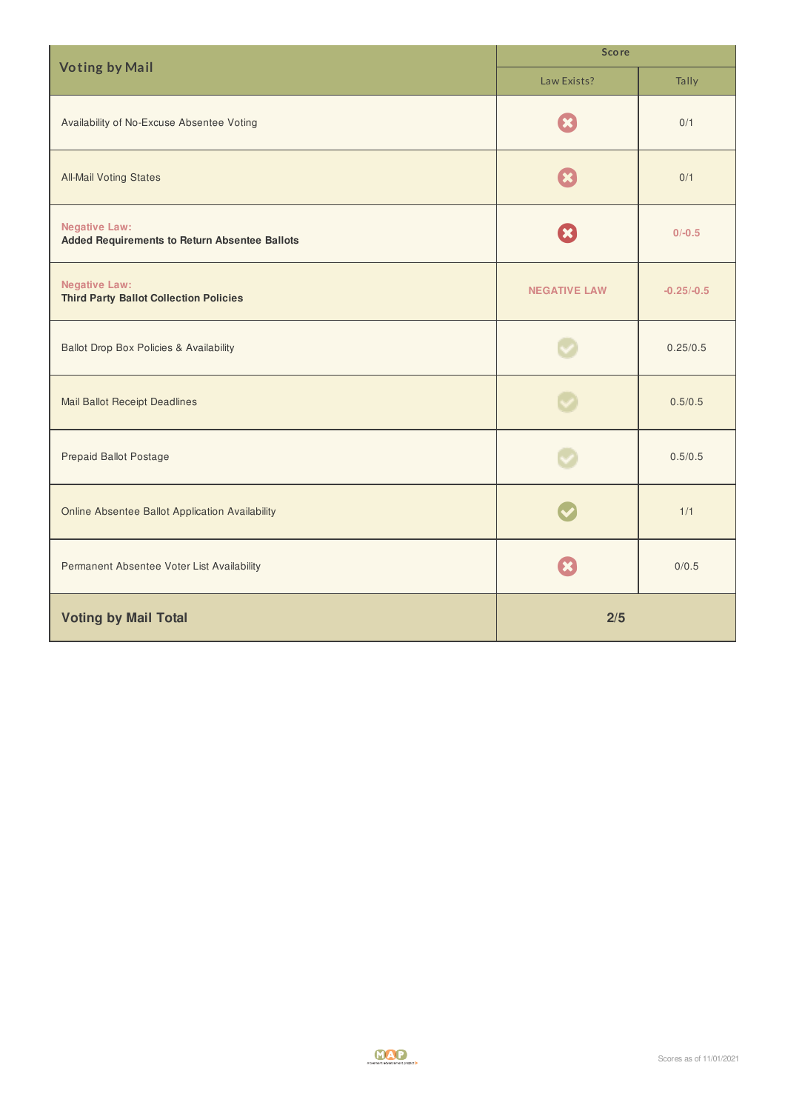| <b>Voting by Mail</b>                                                        | <b>Score</b>        |              |
|------------------------------------------------------------------------------|---------------------|--------------|
|                                                                              | Law Exists?         | Tally        |
| Availability of No-Excuse Absentee Voting                                    |                     | 0/1          |
| <b>All-Mail Voting States</b>                                                |                     | 0/1          |
| <b>Negative Law:</b><br><b>Added Requirements to Return Absentee Ballots</b> | $\pmb{\times}$      | $0/-0.5$     |
| <b>Negative Law:</b><br><b>Third Party Ballot Collection Policies</b>        | <b>NEGATIVE LAW</b> | $-0.25/-0.5$ |
| <b>Ballot Drop Box Policies &amp; Availability</b>                           |                     | 0.25/0.5     |
| <b>Mail Ballot Receipt Deadlines</b>                                         |                     | 0.5/0.5      |
| <b>Prepaid Ballot Postage</b>                                                |                     | 0.5/0.5      |
| Online Absentee Ballot Application Availability                              |                     | 1/1          |
| Permanent Absentee Voter List Availability                                   |                     | 0/0.5        |
| <b>Voting by Mail Total</b>                                                  | 2/5                 |              |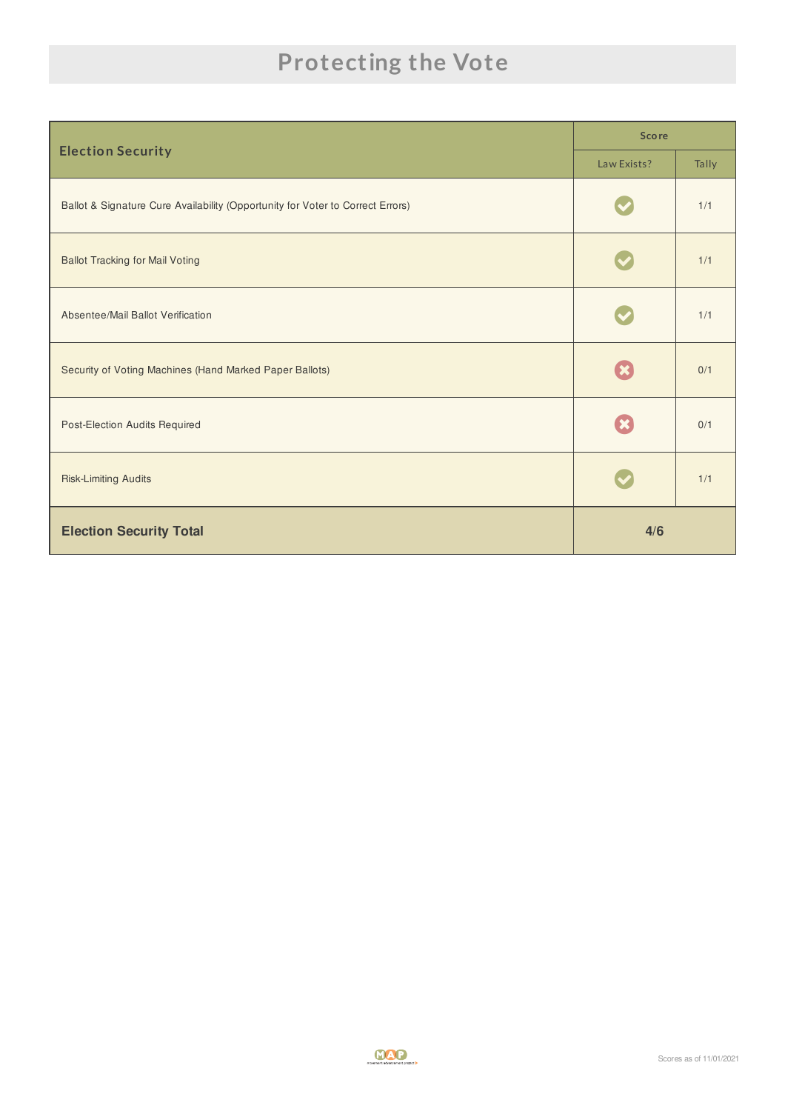# **Protecting the Vote**

|                                                                                | <b>Score</b> |       |
|--------------------------------------------------------------------------------|--------------|-------|
| <b>Election Security</b>                                                       | Law Exists?  | Tally |
| Ballot & Signature Cure Availability (Opportunity for Voter to Correct Errors) |              | 1/1   |
| <b>Ballot Tracking for Mail Voting</b>                                         |              | 1/1   |
| Absentee/Mail Ballot Verification                                              |              | 1/1   |
| Security of Voting Machines (Hand Marked Paper Ballots)                        |              | 0/1   |
| Post-Election Audits Required                                                  |              | 0/1   |
| <b>Risk-Limiting Audits</b>                                                    |              | 1/1   |
| <b>Election Security Total</b>                                                 | 4/6          |       |